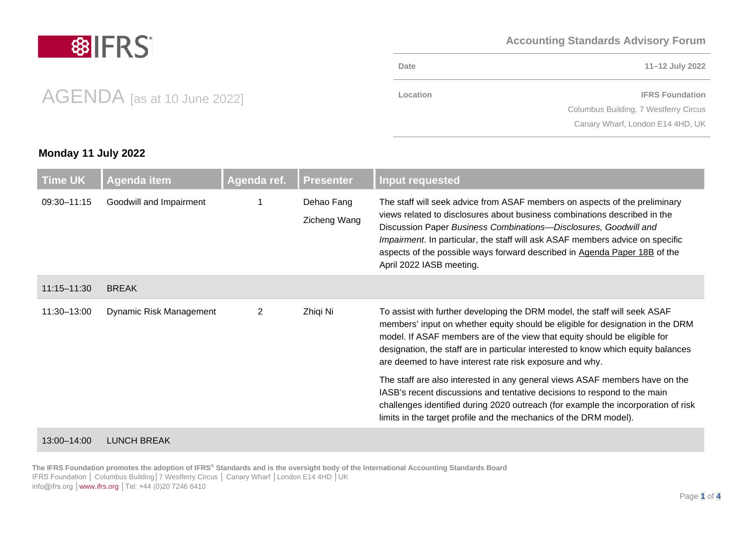#### **Accounting Standards Advisory Forum**

**Date 11–12 July 2022** AGENDA [as at 10 June 2022] **Location IFRS Foundation** Columbus Building, 7 Westferry Circus Canary Wharf, London E14 4HD, UK

### **Monday 11 July 2022**

| <b>Time UK</b> | <b>Agenda item</b>                        | Agenda ref. | <b>Presenter</b>           | <b>Input requested</b>                                                                                                                                                                                                                                                                                                                                                                                                       |
|----------------|-------------------------------------------|-------------|----------------------------|------------------------------------------------------------------------------------------------------------------------------------------------------------------------------------------------------------------------------------------------------------------------------------------------------------------------------------------------------------------------------------------------------------------------------|
| 09:30-11:15    | Goodwill and Impairment                   |             | Dehao Fang<br>Zicheng Wang | The staff will seek advice from ASAF members on aspects of the preliminary<br>views related to disclosures about business combinations described in the<br>Discussion Paper Business Combinations-Disclosures, Goodwill and<br><i>Impairment.</i> In particular, the staff will ask ASAF members advice on specific<br>aspects of the possible ways forward described in Agenda Paper 18B of the<br>April 2022 IASB meeting. |
| 11:15-11:30    | <b>BREAK</b>                              |             |                            |                                                                                                                                                                                                                                                                                                                                                                                                                              |
| 11:30-13:00    | $\overline{2}$<br>Dynamic Risk Management |             | Zhiqi Ni                   | To assist with further developing the DRM model, the staff will seek ASAF<br>members' input on whether equity should be eligible for designation in the DRM<br>model. If ASAF members are of the view that equity should be eligible for<br>designation, the staff are in particular interested to know which equity balances<br>are deemed to have interest rate risk exposure and why.                                     |
|                |                                           |             |                            | The staff are also interested in any general views ASAF members have on the<br>IASB's recent discussions and tentative decisions to respond to the main<br>challenges identified during 2020 outreach (for example the incorporation of risk<br>limits in the target profile and the mechanics of the DRM model).                                                                                                            |

#### 13:00–14:00 LUNCH BREAK

**The IFRS Foundation promotes the adoption of IFRS® Standards and is the oversight body of the International Accounting Standards Board** IFRS Foundation │ Columbus Building│7 Westferry Circus │ Canary Wharf │London E14 4HD │UK info@ifrs.org │[www.ifrs.org](http://www.ifrs.org/) │Tel: +44 (0)20 7246 6410

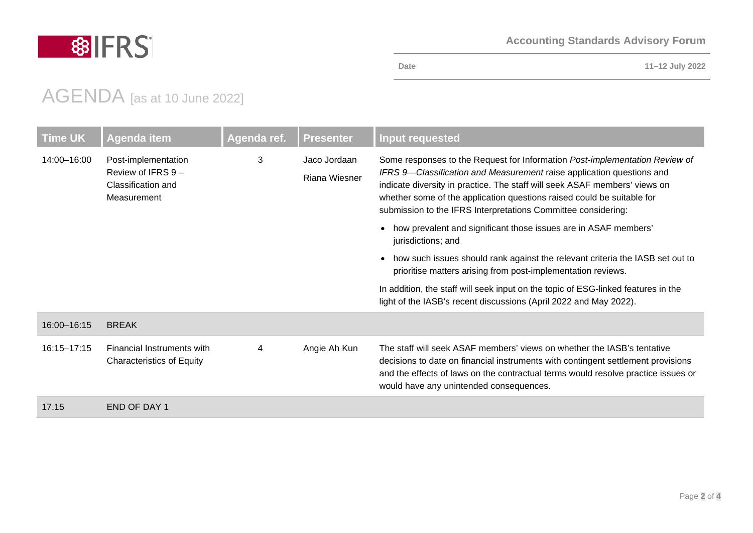### **Accounting Standards Advisory Forum**

# AGENDA [as at 10 June 2022]

| <b>Time UK</b> | <b>Agenda item</b>                                                            | Agenda ref. | <b>Presenter</b>              | <b>Input requested</b>                                                                                                                                                                                                                                                                                                                                                        |
|----------------|-------------------------------------------------------------------------------|-------------|-------------------------------|-------------------------------------------------------------------------------------------------------------------------------------------------------------------------------------------------------------------------------------------------------------------------------------------------------------------------------------------------------------------------------|
| 14:00-16:00    | Post-implementation<br>Review of IFRS 9-<br>Classification and<br>Measurement | 3           | Jaco Jordaan<br>Riana Wiesner | Some responses to the Request for Information Post-implementation Review of<br>IFRS 9-Classification and Measurement raise application questions and<br>indicate diversity in practice. The staff will seek ASAF members' views on<br>whether some of the application questions raised could be suitable for<br>submission to the IFRS Interpretations Committee considering: |
|                |                                                                               |             |                               | • how prevalent and significant those issues are in ASAF members'<br>jurisdictions; and                                                                                                                                                                                                                                                                                       |
|                |                                                                               |             |                               | • how such issues should rank against the relevant criteria the IASB set out to<br>prioritise matters arising from post-implementation reviews.                                                                                                                                                                                                                               |
|                |                                                                               |             |                               | In addition, the staff will seek input on the topic of ESG-linked features in the<br>light of the IASB's recent discussions (April 2022 and May 2022).                                                                                                                                                                                                                        |
| 16:00-16:15    | <b>BREAK</b>                                                                  |             |                               |                                                                                                                                                                                                                                                                                                                                                                               |
| 16:15-17:15    | Financial Instruments with<br><b>Characteristics of Equity</b>                | 4           | Angie Ah Kun                  | The staff will seek ASAF members' views on whether the IASB's tentative<br>decisions to date on financial instruments with contingent settlement provisions<br>and the effects of laws on the contractual terms would resolve practice issues or<br>would have any unintended consequences.                                                                                   |
| 17.15          | <b>END OF DAY 1</b>                                                           |             |                               |                                                                                                                                                                                                                                                                                                                                                                               |

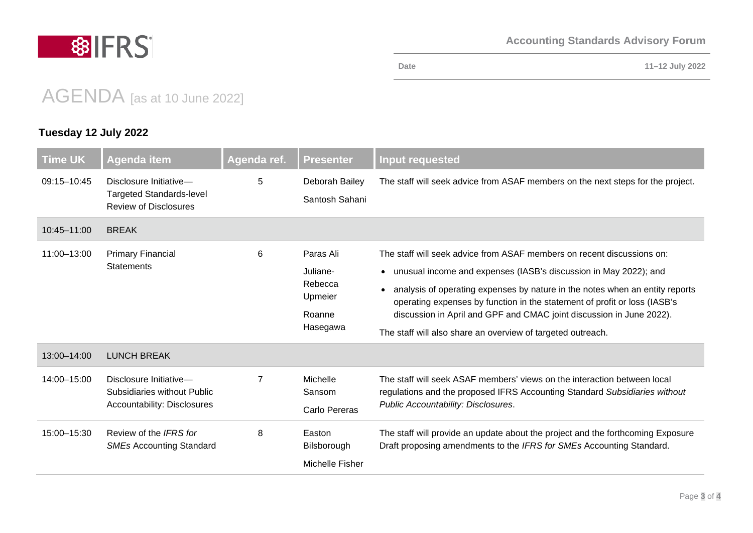### **Accounting Standards Advisory Forum**

| I | ___ | ۰.<br>w |  |  |
|---|-----|---------|--|--|

**Date 11–12 July 2022**

# AGENDA [as at 10 June 2022]

### **Tuesday 12 July 2022**

| <b>Time UK</b> | <b>Agenda item</b>                                                                        | Agenda ref.    | <b>Presenter</b>                                                  | Input requested                                                                                                                                                                                                                                                                                                                                                                                                                                               |
|----------------|-------------------------------------------------------------------------------------------|----------------|-------------------------------------------------------------------|---------------------------------------------------------------------------------------------------------------------------------------------------------------------------------------------------------------------------------------------------------------------------------------------------------------------------------------------------------------------------------------------------------------------------------------------------------------|
| 09:15-10:45    | Disclosure Initiative-<br><b>Targeted Standards-level</b><br><b>Review of Disclosures</b> | 5              | Deborah Bailey<br>Santosh Sahani                                  | The staff will seek advice from ASAF members on the next steps for the project.                                                                                                                                                                                                                                                                                                                                                                               |
| 10:45-11:00    | <b>BREAK</b>                                                                              |                |                                                                   |                                                                                                                                                                                                                                                                                                                                                                                                                                                               |
| 11:00-13:00    | <b>Primary Financial</b><br><b>Statements</b>                                             | 6              | Paras Ali<br>Juliane-<br>Rebecca<br>Upmeier<br>Roanne<br>Hasegawa | The staff will seek advice from ASAF members on recent discussions on:<br>• unusual income and expenses (IASB's discussion in May 2022); and<br>analysis of operating expenses by nature in the notes when an entity reports<br>$\bullet$<br>operating expenses by function in the statement of profit or loss (IASB's<br>discussion in April and GPF and CMAC joint discussion in June 2022).<br>The staff will also share an overview of targeted outreach. |
| 13:00-14:00    | <b>LUNCH BREAK</b>                                                                        |                |                                                                   |                                                                                                                                                                                                                                                                                                                                                                                                                                                               |
| 14:00-15:00    | Disclosure Initiative-<br>Subsidiaries without Public<br>Accountability: Disclosures      | $\overline{7}$ | Michelle<br>Sansom<br>Carlo Pereras                               | The staff will seek ASAF members' views on the interaction between local<br>regulations and the proposed IFRS Accounting Standard Subsidiaries without<br>Public Accountability: Disclosures.                                                                                                                                                                                                                                                                 |
| 15:00-15:30    | Review of the IFRS for<br><b>SMEs Accounting Standard</b>                                 | 8              | Easton<br>Bilsborough<br>Michelle Fisher                          | The staff will provide an update about the project and the forthcoming Exposure<br>Draft proposing amendments to the IFRS for SMEs Accounting Standard.                                                                                                                                                                                                                                                                                                       |